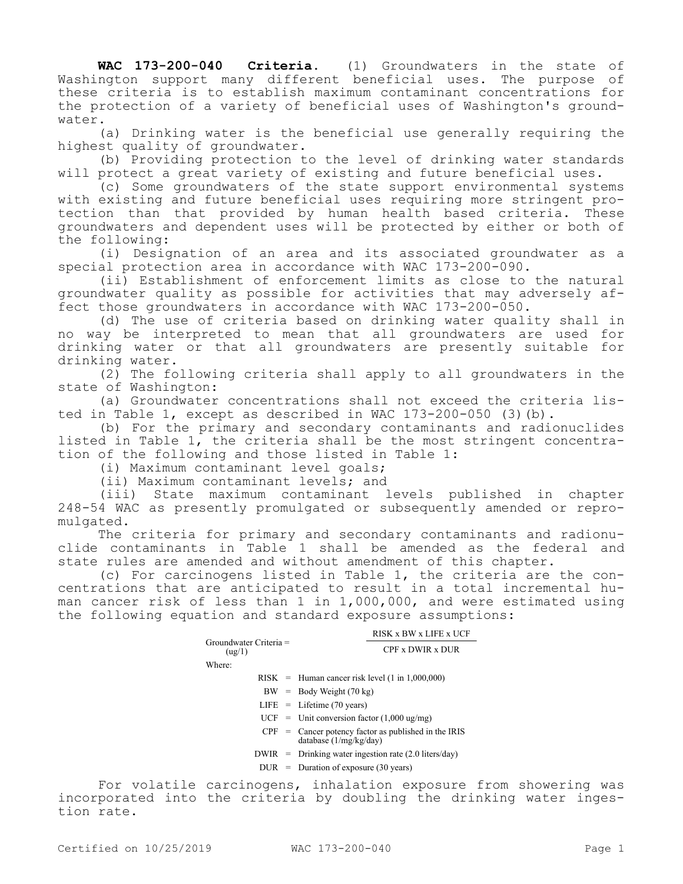**WAC 173-200-040 Criteria.** (1) Groundwaters in the state of Washington support many different beneficial uses. The purpose of these criteria is to establish maximum contaminant concentrations for the protection of a variety of beneficial uses of Washington's groundwater.

(a) Drinking water is the beneficial use generally requiring the highest quality of groundwater.

(b) Providing protection to the level of drinking water standards will protect a great variety of existing and future beneficial uses.

(c) Some groundwaters of the state support environmental systems with existing and future beneficial uses requiring more stringent protection than that provided by human health based criteria. These groundwaters and dependent uses will be protected by either or both of the following:

(i) Designation of an area and its associated groundwater as a special protection area in accordance with WAC 173-200-090.

(ii) Establishment of enforcement limits as close to the natural groundwater quality as possible for activities that may adversely affect those groundwaters in accordance with WAC 173-200-050.

(d) The use of criteria based on drinking water quality shall in no way be interpreted to mean that all groundwaters are used for drinking water or that all groundwaters are presently suitable for drinking water.

(2) The following criteria shall apply to all groundwaters in the state of Washington:

(a) Groundwater concentrations shall not exceed the criteria listed in Table 1, except as described in WAC 173-200-050 (3)(b).

(b) For the primary and secondary contaminants and radionuclides listed in Table 1, the criteria shall be the most stringent concentration of the following and those listed in Table 1:

(i) Maximum contaminant level goals;

(ii) Maximum contaminant levels; and

(iii) State maximum contaminant levels published in chapter 248-54 WAC as presently promulgated or subsequently amended or repromulgated.

The criteria for primary and secondary contaminants and radionuclide contaminants in Table 1 shall be amended as the federal and state rules are amended and without amendment of this chapter.

(c) For carcinogens listed in Table 1, the criteria are the concentrations that are anticipated to result in a total incremental human cancer risk of less than 1 in 1,000,000, and were estimated using the following equation and standard exposure assumptions:

|                                    | RISK x BW x LIFE x UCF                            |  |
|------------------------------------|---------------------------------------------------|--|
| $Groundwater Criteria =$<br>(ug/1) | CPF x DWIR x DUR                                  |  |
| Where:                             |                                                   |  |
|                                    | $RISK$ = Human cancer risk level (1 in 1,000,000) |  |

- $BW = Body Weight (70 kg)$
- LIFE = Lifetime (70 years)
- $UCF =$  Unit conversion factor (1,000 ug/mg)
- CPF = Cancer potency factor as published in the IRIS database (1/mg/kg/day)
- DWIR = Drinking water ingestion rate (2.0 liters/day)
- $DUR = Duration of exposure (30 years)$

For volatile carcinogens, inhalation exposure from showering was incorporated into the criteria by doubling the drinking water ingestion rate.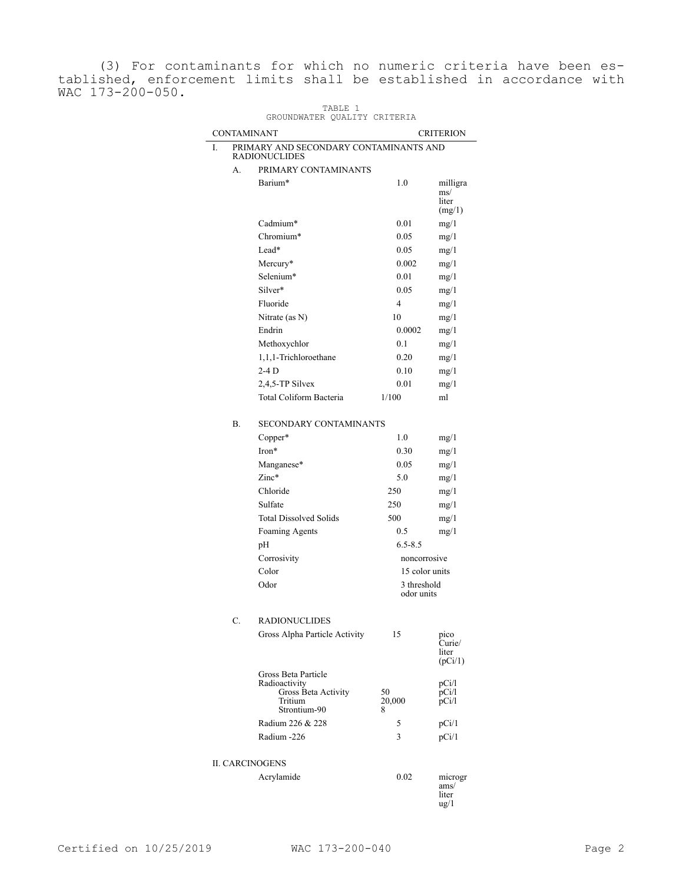(3) For contaminants for which no numeric criteria have been established, enforcement limits shall be established in accordance with WAC 173-200-050.

TABLE 1

| GROUNDWATER QUALITY CRITERIA |                                                         |                                                                                        |                   |                                             |  |  |
|------------------------------|---------------------------------------------------------|----------------------------------------------------------------------------------------|-------------------|---------------------------------------------|--|--|
|                              | <b>CONTAMINANT</b>                                      |                                                                                        |                   | <b>CRITERION</b>                            |  |  |
| L.                           | PRIMARY AND SECONDARY CONTAMINANTS AND<br>RADIONUCLIDES |                                                                                        |                   |                                             |  |  |
|                              | А.                                                      | PRIMARY CONTAMINANTS                                                                   |                   |                                             |  |  |
|                              |                                                         | Barium*                                                                                | 1.0               | milligra<br>ms/<br>liter<br>(mg/1)          |  |  |
|                              |                                                         | Cadmium*                                                                               | 0.01              | mg/1                                        |  |  |
|                              |                                                         | Chromium*                                                                              | 0.05              | mg/1                                        |  |  |
|                              |                                                         | Lead*                                                                                  | 0.05              | mg/1                                        |  |  |
|                              |                                                         | Mercury*                                                                               | 0.002             | mg/1                                        |  |  |
|                              |                                                         | Selenium*                                                                              | 0.01              | mg/1                                        |  |  |
|                              |                                                         | Silver*                                                                                | 0.05              | mg/1                                        |  |  |
|                              |                                                         | Fluoride                                                                               | 4                 | mg/1                                        |  |  |
|                              |                                                         | Nitrate (as N)                                                                         | 10                | mg/1                                        |  |  |
|                              |                                                         | Endrin                                                                                 | 0.0002            | mg/1                                        |  |  |
|                              |                                                         | Methoxychlor                                                                           | 0.1               | mg/1                                        |  |  |
|                              |                                                         | 1,1,1-Trichloroethane                                                                  | 0.20              | mg/1                                        |  |  |
|                              |                                                         | $2-4D$                                                                                 | 0.10              | mg/1                                        |  |  |
|                              |                                                         | 2,4,5-TP Silvex                                                                        | 0.01              | mg/1                                        |  |  |
|                              |                                                         | Total Coliform Bacteria                                                                | 1/100             | ml                                          |  |  |
|                              | В.                                                      | <b>SECONDARY CONTAMINANTS</b>                                                          |                   |                                             |  |  |
|                              |                                                         | Copper*                                                                                | 1.0               | mg/1                                        |  |  |
|                              |                                                         | Iron*                                                                                  | 0.30              | mg/1                                        |  |  |
|                              |                                                         | Manganese*                                                                             | 0.05              | mg/1                                        |  |  |
|                              |                                                         | $Zinc*$                                                                                | 5.0               | mg/1                                        |  |  |
|                              |                                                         | Chloride                                                                               | 250               | mg/1                                        |  |  |
|                              |                                                         | Sulfate                                                                                | 250               | mg/1                                        |  |  |
|                              |                                                         | <b>Total Dissolved Solids</b>                                                          | 500               | mg/1                                        |  |  |
|                              |                                                         | Foaming Agents                                                                         | 0.5               | mg/1                                        |  |  |
|                              |                                                         | pН                                                                                     | $6.5 - 8.5$       |                                             |  |  |
|                              |                                                         | Corrosivity                                                                            | noncorrosive      |                                             |  |  |
|                              |                                                         | Color                                                                                  | 15 color units    |                                             |  |  |
|                              |                                                         | Odor                                                                                   | 3 threshold       |                                             |  |  |
|                              |                                                         |                                                                                        | odor units        |                                             |  |  |
|                              | С.                                                      | <b>RADIONUCLIDES</b>                                                                   |                   |                                             |  |  |
|                              |                                                         | Gross Alpha Particle Activity                                                          | 15                | pico<br>Curie/<br>liter<br>(pCi/1)          |  |  |
|                              |                                                         | Gross Beta Particle<br>Radioactivity<br>Gross Beta Activity<br>Tritium<br>Strontium-90 | 50<br>20,000<br>8 | pCi/l<br>pCi/l<br>pCi/1                     |  |  |
|                              |                                                         | Radium 226 & 228                                                                       | 5                 | pCi/1                                       |  |  |
|                              |                                                         | Radium -226                                                                            | 3                 | pCi/1                                       |  |  |
|                              |                                                         |                                                                                        |                   |                                             |  |  |
| <b>II. CARCINOGENS</b>       |                                                         |                                                                                        |                   |                                             |  |  |
|                              |                                                         | Acrylamide                                                                             | 0.02              | microgr<br>ams/<br>liter<br>$\frac{u g}{1}$ |  |  |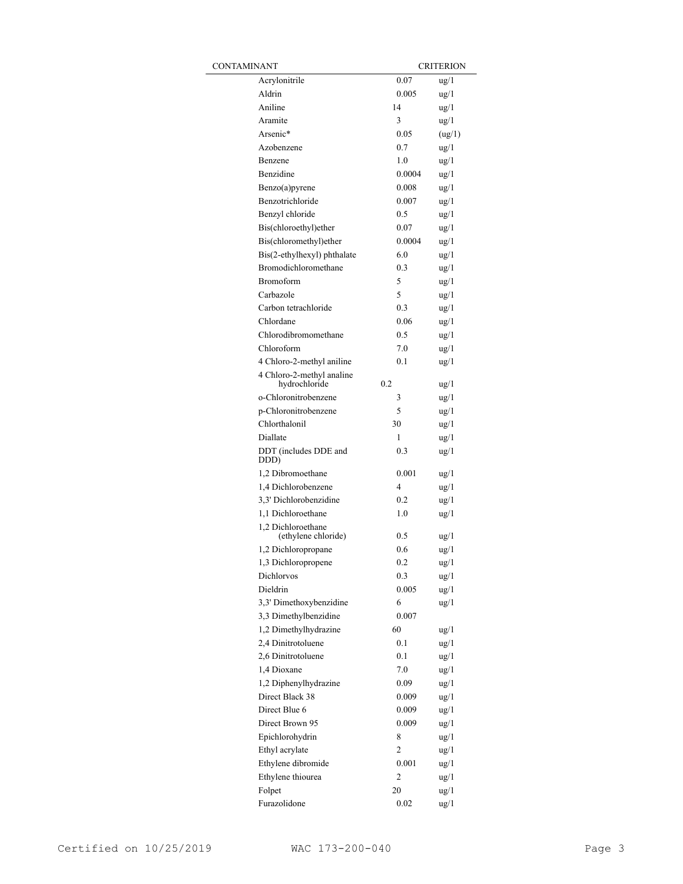| CONTAMINANT                                |        | <b>CRITERION</b> |  |
|--------------------------------------------|--------|------------------|--|
| Acrylonitrile                              | 0.07   | $\frac{u g}{1}$  |  |
| Aldrin                                     | 0.005  | $\frac{u g}{1}$  |  |
| Aniline                                    | 14     | $\frac{u g}{1}$  |  |
| Aramite                                    | 3      | $\frac{u g}{1}$  |  |
| Arsenic*                                   | 0.05   | (ug/1)           |  |
| Azobenzene                                 | 0.7    | $\frac{u g}{1}$  |  |
| Benzene                                    | 1.0    | $\frac{u g}{1}$  |  |
| Benzidine                                  | 0.0004 | $\frac{u g}{1}$  |  |
| Benzo(a)pyrene                             | 0.008  | $\frac{u g}{1}$  |  |
| Benzotrichloride                           | 0.007  | $\frac{u}{2}$    |  |
| Benzyl chloride                            | 0.5    | $\frac{u g}{1}$  |  |
| Bis(chloroethyl)ether                      | 0.07   | $\frac{u g}{1}$  |  |
| Bis(chloromethyl)ether                     | 0.0004 | $\frac{u g}{1}$  |  |
| Bis(2-ethylhexyl) phthalate                | 6.0    | $\frac{u g}{1}$  |  |
| Bromodichloromethane                       | 0.3    | $\frac{u g}{1}$  |  |
| <b>Bromoform</b>                           | 5      | $\frac{u g}{1}$  |  |
| Carbazole                                  | 5      | $\frac{u}{2}$    |  |
| Carbon tetrachloride                       | 0.3    | $\frac{u g}{1}$  |  |
| Chlordane                                  | 0.06   | $\frac{u}{2}$    |  |
| Chlorodibromomethane                       | 0.5    | $\frac{u}{2}$    |  |
| Chloroform                                 | 7.0    | $\frac{u g}{1}$  |  |
| 4 Chloro-2-methyl aniline                  | 0.1    | $\frac{u}{2}$    |  |
| 4 Chloro-2-methyl analine<br>hydrochloride | 0.2    | ug/1             |  |
| o-Chloronitrobenzene                       | 3      | $\frac{u g}{1}$  |  |
| p-Chloronitrobenzene                       | 5      | $\frac{u g}{1}$  |  |
| Chlorthalonil                              | 30     | $\frac{u g}{1}$  |  |
| Diallate                                   | 1      | $\frac{u g}{1}$  |  |
| DDT (includes DDE and<br>DDD)              | 0.3    | $\frac{u g}{1}$  |  |
| 1,2 Dibromoethane                          | 0.001  | ug/1             |  |
| 1,4 Dichlorobenzene                        | 4      | ug/1             |  |
| 3,3' Dichlorobenzidine                     | 0.2    | $\frac{u g}{1}$  |  |
| 1,1 Dichloroethane                         | 1.0    | $\frac{u}{2}$    |  |
| 1,2 Dichloroethane<br>(ethylene chloride)  | 0.5    | ug/1             |  |
| 1,2 Dichloropropane                        | 0.6    | $\frac{u}{2}$    |  |
| 1,3 Dichloropropene                        | 0.2    | ug/1             |  |
| Dichlorvos                                 | 0.3    | $\frac{u g}{1}$  |  |
| Dieldrin                                   | 0.005  | ug/1             |  |
| 3,3' Dimethoxybenzidine                    | 6      | $\frac{u g}{1}$  |  |
| 3,3 Dimethylbenzidine                      | 0.007  |                  |  |
| 1,2 Dimethylhydrazine                      | 60     | ug/1             |  |
| 2,4 Dinitrotoluene                         | 0.1    | $\frac{u g}{1}$  |  |
| 2,6 Dinitrotoluene                         | 0.1    | $\frac{u g}{1}$  |  |
| 1,4 Dioxane                                | 7.0    | ug/1             |  |
| 1,2 Diphenylhydrazine                      | 0.09   | $\frac{u}{g}$    |  |
| Direct Black 38                            | 0.009  | $\frac{u}{g}$    |  |
| Direct Blue 6                              | 0.009  | $\frac{u}{g}$    |  |
| Direct Brown 95                            | 0.009  | $\frac{u}{g}$    |  |
| Epichlorohydrin                            | 8      | $\frac{u}{g}$    |  |
| Ethyl acrylate                             | 2      | $\frac{u}{g}$    |  |
| Ethylene dibromide                         | 0.001  | $\frac{u}{g}$    |  |
| Ethylene thiourea                          | 2      | $\frac{u}{g}$    |  |
| Folpet                                     | 20     | $\frac{u}{g}$    |  |
| Furazolidone                               | 0.02   | $\frac{u}{g}$    |  |
|                                            |        |                  |  |